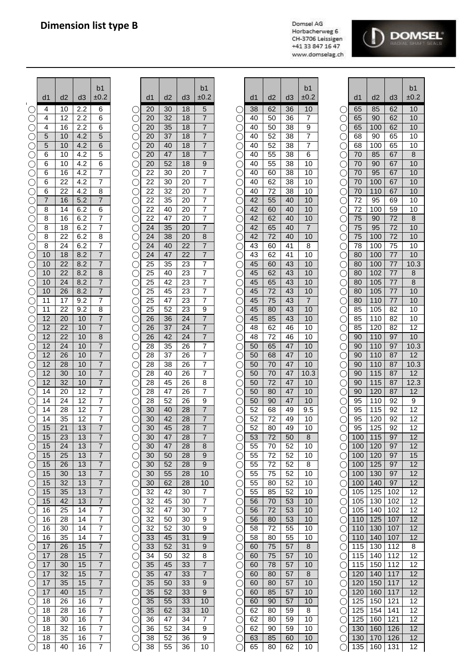## **Dimension list type B**

Domsel AG Horbacherweg 6 CH-3706 Leissigen +41 33 847 16 47 www.domselag.ch



|                          |                |                 |            | b <sub>1</sub>                   |          |          |          | b <sub>1</sub>          |          |          |          | b <sub>1</sub> |           |            |            |            | b <sub>1</sub> |
|--------------------------|----------------|-----------------|------------|----------------------------------|----------|----------|----------|-------------------------|----------|----------|----------|----------------|-----------|------------|------------|------------|----------------|
|                          | d1             | d2              | d3         | ±0.2                             | d1       | d2       | d3       | ±0.2                    | d1       | d2       | d3       | ±0.2           |           | d1         | d2         | d3         | ±0.            |
|                          | 4              | 10              | 2.2        | 6                                | 20       | 30       | 18       | 5                       | 38       | 62       | 36       | 10             |           | 65         | 85         | 62         | 10             |
| O                        | 4              | 12              | 2.2        | 6                                | 20       | 32       | 18       | 7                       | 40       | 50       | 36       | 7              |           | 65         | 90         | 62         | 10             |
|                          | 4              | 16              | 2.2        | 6                                | 20       | 35       | 18       | 7                       | 40       | 50       | 38       | 9              |           | 65         | 100        | 62         | 10             |
| $\left(\right)$          | 5              | 10              | 4.2        | $\overline{5}$                   | 20       | 37       | 18       | 7                       | 40       | 52       | 38       | 7              |           | 68         | 90         | 65         | 10             |
| O                        | 5              | 10              | 4.2        | 6                                | 20       | 40       | 18       | 7                       | 40       | 52       | 38       | 7              |           | 68         | 100        | 65         | 10             |
| $\left(\right)$          | 6              | 10              | 4.2        | 5                                | 20       | 47       | 18       | $\overline{7}$          | 40       | 55       | 38       | 6              |           | 70         | 85         | 67         | 8              |
| $\bigcirc$               | 6              | 10              | 4.2        | 6                                | 20       | 52       | 18       | 9                       | 40       | 55       | 38       | 10             | C .       | 70         | 90         | 67         | 10             |
| $\bigcirc$               | 6              | 16              | 4.2        | $\overline{7}$                   | 22       | 30       | 20       | $\overline{7}$          | 40       | 60       | 38       | 10             |           | 70         | 95         | 67         | 10             |
| $\bigcirc$               | 6              | 22              | 4.2        | $\overline{7}$                   | 22       | 30       | 20       | $\overline{7}$          | 40       | 62       | 38       | 10             |           | 70         | 100        | 67         | 10             |
| $\bigcirc$               | 6              | 22              | 4.2        | 8                                | 22       | 32       | 20       | $\overline{7}$          | 40       | 72       | 38       | 10             |           | 70         | 110        | 67         | 10             |
| O                        | $\overline{7}$ | 16              | 5.2        | 7                                | 22       | 35       | 20       | 7                       | 42       | 55       | 40       | 10             | C.        | 72         | 95         | 69         | 10             |
| O                        | 8              | 14              | 6.2        | 6                                | 22       | 40       | 20       | 7                       | 42       | 60       | 40       | 10             |           | 72         | 100        | 59         | 10             |
| O                        | 8              | 16              | 6.2        | 7                                | 22       | 47       | 20       | 7                       | 42       | 62       | 40       | 10             | (         | 75         | 90         | 72         | 8              |
| C                        | 8<br>8         | 18<br>22        | 6.2<br>6.2 | 7<br>8                           | 24<br>24 | 35<br>38 | 20<br>20 | 7<br>8                  | 42<br>42 | 65<br>72 | 40<br>40 | 7<br>10        | (         | 75<br>75   | 95<br>100  | 72<br>72   | 10<br>10       |
| C<br>$\bigcirc$          | 8              | 24              | 6.2        | 7                                | 24       | 40       | 22       | $\overline{7}$          | 43       | 60       | 41       | 8              |           | 78         | 100        | 75         | 10             |
| O                        | 10             | 18              | 8.2        | $\overline{7}$                   | 24       | 47       | 22       | $\overline{7}$          | 43       | 62       | 41       | 10             |           | 80         | 100        | 77         | 10             |
| O                        | 10             | 22              | 8.2        | $\overline{7}$                   | 25       | 35       | 23       | 7                       | 45       | 60       | 43       | 10             |           | 80         | 100        | 77         | 10.            |
| O                        | 10             | 22              | 8.2        | 8                                | 25       | 40       | 23       | 7                       | 45       | 62       | 43       | 10             | C .       | 80         | 102        | 77         | 8              |
| $\bigcirc$               | 10             | 24              | 8.2        | $\overline{7}$                   | 25       | 42       | 23       | 7                       | 45       | 65       | 43       | 10             | C         | 80         | 105        | 77         | 8              |
|                          | 10             | 26              | 8.2        | $\overline{7}$                   | 25       | 45       | 23       | $\boldsymbol{7}$        | 45       | 72       | 43       | 10             |           | 80         | 105        | 77         | 10             |
| $\bigcirc$               | 11             | 17              | 9.2        | 7                                | 25       | 47       | 23       | $\overline{7}$          | 45       | 75       | 43       | 7              |           | 80         | 110        | 77         | 10             |
|                          | 11             | 22              | 9.2        | 8                                | 25       | 52       | 23       | 9                       | 45       | 80       | 43       | 10             |           | 85         | 105        | 82         | 10             |
|                          | 12             | 20              | 10         | $\overline{7}$                   | 26       | 36       | 24       | $\overline{7}$          | 45       | 85       | 43       | 10             |           | 85         | 110        | 82         | 10             |
|                          | 12             | 22              | 10         | 7                                | 26       | 37       | 24       | $\overline{\mathbf{7}}$ | 48       | 62       | 46       | 10             |           | 85         | 120        | 82         | 12             |
|                          | 12             | 22              | 10         | 8                                | 26       | 42       | 24       | 7                       | 48       | 72       | 46       | 10             |           | 90         | 110        | 97         | 10             |
|                          | 12<br>12       | 24<br>26        | 10<br>10   | 7<br>$\overline{7}$              | 28<br>28 | 35<br>37 | 26<br>26 | 7<br>7                  | 50<br>50 | 65<br>68 | 47<br>47 | 10<br>10       |           | 90<br>90   | 110<br>110 | 97<br>87   | 10.<br>12      |
| C<br>O                   | 12             | 28              | 10         | $\overline{7}$                   | 28       | 38       | 26       | 7                       | 50       | 70       | 47       | 10             |           | 90         | 110        | 87         | 10.            |
| $\left(\right)$          | 12             | 30              | 10         | 7                                | 28       | 40       | 26       | 7                       | 50       | 70       | 47       | 10.3           |           | 90         | 115        | 87         | 12             |
|                          | 12             | 32              | 10         | $\overline{7}$                   | 28       | 45       | 26       | 8                       | 50       | 72       | 47       | 10             |           | 90         | 115        | 87         | 12.            |
| $\left(\right)$          | 14             | 20              | 12         | $\overline{7}$                   | 28       | 47       | 26       | 7                       | 50       | 80       | 47       | 10             | (         | 90         | 120        | 87         | 12             |
| O                        | 14             | 24              | 12         | 7                                | 28       | 52       | 26       | 9                       | 50       | 90       | 47       | 10             |           | 95         | 110        | 92         | 9              |
| O                        | 14             | 28              | 12         | $\overline{7}$                   | 30       | 40       | 28       | $\overline{7}$          | 52       | 68       | 49       | 9.5            |           | 95         | 115        | 92         | 12             |
| $\bigcirc$               | 14             | 35              | 12         | $\overline{7}$                   | 30       | 42       | 28       | $\overline{7}$          | 52       | 72       | 49       | 10             |           | 95         | 120        | 92         | 12             |
| $\bigcirc$               | 15             | $\overline{21}$ | 13         | $\overline{7}$                   | 30       | 45       | 28       | $\overline{7}$          | 52       | 80       | 49       | 10             |           | 95         | 125        | 92         | 12             |
| O                        | 15             | 23              | 13         | 7                                | 30       | 47       | 28       | 7                       | 53       | 72       | 50       | 8              |           | 100        | 115        | 97         | 12             |
| $\bigcirc$               | 15             | 24              | 13         | $\overline{7}$                   | 30       | 47       | 28       | 8                       | 55       | 70       | 52       | 10             |           | 100        | 120        | 97         | 12             |
| $\bigcirc$               | 15             | 25              | 13         | $\overline{7}$                   | 30       | 50       | 28<br>28 | 9                       | 55       | 72<br>72 | 52<br>52 | 10<br>8        | C.        | 100        | 120        | 97<br>97   | 15             |
| $\bigcirc$<br>$\bigcirc$ | 15<br>15       | 26<br>30        | 13<br>13   | $\overline{7}$<br>7              | 30<br>30 | 52<br>55 | 28       | 9<br>10                 | 55<br>55 | 75       | 52       | 10             |           | 100<br>100 | 125<br>130 | 97         | 12<br>12       |
| $\bigcirc$               | 15             | 32              | 13         | $\overline{7}$                   | 30       | 62       | 28       | 10                      | 55       | 80       | 52       | 10             |           | 100        | 140        | 97         | 12             |
| $\bigcirc$               | 15             | 35              | 13         | 7                                | 32       | 42       | 30       | 7                       | 55       | 85       | 52       | 10             | C .       | 105        | 125        | 102        | 12             |
| $\bigcirc$               | 15             | 42              | 13         | 7                                | 32       | 45       | 30       | 7                       | 56       | 70       | 53       | 10             | С.        | 105        | 130        | 102        | 12             |
| $\bigcirc$               | 16             | 25              | 14         | $\overline{7}$                   | 32       | 47       | 30       | 7                       | 56       | 72       | 53       | 10             | ⊖         | 105        | 140        | 102        | 12             |
| $\bigcirc$               | 16             | 28              | 14         | $\overline{7}$                   | 32       | 50       | 30       | 9                       | 56       | 80       | 53       | 10             | C         | 110        | 125        | 107        | 12             |
| $\bigcirc$               | 16             | 30              | 14         | $\overline{7}$                   | 32       | 52       | 30       | 9                       | 58       | 72       | 55       | 10             | С.        | 110        | 130        | 107        | 12             |
| $\bigcirc$               | 16             | 35              | 14         | $\overline{7}$                   | 33       | 45       | 31       | $9\,$                   | 58       | 80       | 55       | 10             |           | 110        | 140        | 107        | 12             |
| $\bigcirc$               | 17             | 26              | 15         | 7                                | 33       | 52       | 31       | 9                       | 60       | 75       | 57       | 8              |           | 115        | 130        | 112        | 8              |
| $\bigcirc$               | 17             | 28              | 15         | $\overline{7}$                   | 34       | 50       | 32       | 8                       | 60       | 75       | 57       | 10             |           | 115        | 140        | 112        | 12             |
| $\bigcirc$               | 17             | 30              | 15         | $\boldsymbol{7}$                 | 35       | 45       | 33       | 7                       | 60       | 78       | 57       | 10             |           | 115        | 150        | 112        | 12             |
| $\bigcirc$               | 17             | 32              | 15         | 7                                | 35       | 47       | 33       | 7                       | 60       | 80       | 57       | 8              |           | 120        | 140        | 117        | 12             |
| $\bigcirc$               | 17<br>17       | 35<br>40        | 15<br>15   | $\overline{7}$<br>$\overline{7}$ | 35<br>35 | 50<br>52 | 33<br>33 | 9<br>$9\,$              | 60<br>60 | 80<br>85 | 57<br>57 | 10<br>10       |           | 120<br>120 | 150<br>160 | 117<br>117 | 12<br>12       |
| $\bigcirc$<br>О          | 18             | 26              | 16         | $\overline{7}$                   | 35       | 55       | 33       | 10                      | 60       | 90       | 57       | 10             | $(\quad)$ | 125        | 150        | 121        | 12             |
| O                        | 18             | 28              | 16         | $\overline{7}$                   | 35       | 62       | 33       | 10                      | 62       | 80       | 59       | 8              |           | 125        | 154        | 141        | 12             |
| $\bigcirc$               | 18             | 30              | 16         | $\overline{7}$                   | 36       | 47       | 34       | $\overline{7}$          | 62       | 80       | 59       | 10             |           | 125        | 160        | 121        | 12             |
| $\bigcirc$               | 18             | 32              | 16         | $\overline{7}$                   | 36       | 52       | 34       | 9                       | 62       | 90       | 59       | 10             | С.        | 130        | 160        | 126        | 12             |
| $\bigcirc$               | 18             | 35              | 16         | $\overline{7}$                   | 38       | 52       | 36       | 9                       | 63       | 85       | 60       | 10             |           | 130        | 170        | 126        | 12             |
| $\bigcirc$               | 18             | 40              | 16         | $\overline{7}$                   | 38       | 55       | 36       | 10                      | 65       | 80       | 62       | 10             |           | 135        | 160        | 131        | 12             |

| b <sub>1</sub><br>$\pm 0.2$                                                                                                                                                                                                           |                       | d <sub>1</sub>                               | d2                                | d <sub>3</sub>                     | b <sub>1</sub><br>±0.2                                                                                          |
|---------------------------------------------------------------------------------------------------------------------------------------------------------------------------------------------------------------------------------------|-----------------------|----------------------------------------------|-----------------------------------|------------------------------------|-----------------------------------------------------------------------------------------------------------------|
|                                                                                                                                                                                                                                       |                       |                                              |                                   |                                    |                                                                                                                 |
| $\overline{6}$<br>$\overline{6}$                                                                                                                                                                                                      |                       | 20<br>$\overline{20}$                        | 30<br>$\overline{32}$             | $\overline{18}$<br>$\overline{18}$ | $\frac{5}{7}$ $\frac{7}{7}$                                                                                     |
|                                                                                                                                                                                                                                       |                       | 20                                           | 35                                | 18                                 |                                                                                                                 |
| $\frac{6}{5}$ $\frac{6}{5}$                                                                                                                                                                                                           |                       | $\overline{20}$                              | $\overline{37}$                   | $\overline{18}$                    |                                                                                                                 |
|                                                                                                                                                                                                                                       |                       | $\overline{20}$                              | $\overline{40}$                   | $\overline{18}$                    | $\overline{7}$                                                                                                  |
|                                                                                                                                                                                                                                       |                       | $\overline{20}$                              | 47                                | $\overline{18}$                    | $\overline{7}$                                                                                                  |
|                                                                                                                                                                                                                                       |                       | $\overline{20}$                              | $\overline{52}$                   | $\overline{18}$                    |                                                                                                                 |
| $\frac{6}{7}$                                                                                                                                                                                                                         |                       | $\frac{22}{ }$<br>$\frac{22}{2}$             | 30<br>30                          | $\overline{20}$<br>20              |                                                                                                                 |
|                                                                                                                                                                                                                                       |                       | $\overline{22}$                              | 32                                | $\frac{20}{ }$                     |                                                                                                                 |
|                                                                                                                                                                                                                                       |                       | $\frac{22}{ }$                               | $\frac{35}{5}$                    | $\frac{20}{ }$                     |                                                                                                                 |
| $\frac{8}{7}$ $\frac{6}{7}$ $\frac{7}{7}$                                                                                                                                                                                             |                       |                                              | 40                                | $\frac{20}{1}$                     | $\frac{1}{9}$ $\frac{7}{7}$ $\frac{7}{7}$ $\frac{7}{7}$ $\frac{7}{7}$ $\frac{7}{8}$ $\frac{8}{7}$               |
|                                                                                                                                                                                                                                       |                       |                                              | $\overline{47}$                   |                                    |                                                                                                                 |
|                                                                                                                                                                                                                                       |                       | $rac{22}{22}$<br>$rac{24}{24}$               | 35                                | $\frac{20}{20}$<br>$\frac{20}{20}$ |                                                                                                                 |
| $\overline{8}$                                                                                                                                                                                                                        |                       |                                              | 38<br>40                          |                                    |                                                                                                                 |
| $\frac{7}{7}$                                                                                                                                                                                                                         |                       | $\frac{24}{24}$                              | 47                                | $\frac{22}{22}$                    | $\frac{7}{7}$                                                                                                   |
| $\overline{7}$                                                                                                                                                                                                                        |                       | $\overline{25}$                              | 35                                | $\overline{23}$                    |                                                                                                                 |
| $\overline{8}$                                                                                                                                                                                                                        |                       | $\overline{25}$                              | $\frac{40}{1}$                    | $\frac{23}{ }$                     |                                                                                                                 |
|                                                                                                                                                                                                                                       |                       | $\overline{25}$                              | $\frac{42}{45}$                   | $\frac{23}{23}$                    |                                                                                                                 |
|                                                                                                                                                                                                                                       |                       | $\overline{25}$                              |                                   |                                    |                                                                                                                 |
|                                                                                                                                                                                                                                       |                       | $\frac{2\overline{5}}{2}$<br>$\overline{25}$ |                                   |                                    |                                                                                                                 |
|                                                                                                                                                                                                                                       |                       | $\frac{26}{ }$                               | $\frac{47}{52}$<br>$\frac{36}{5}$ | $\frac{23}{23}$<br>$\frac{24}{24}$ |                                                                                                                 |
|                                                                                                                                                                                                                                       |                       | $\frac{26}{ }$                               |                                   |                                    |                                                                                                                 |
|                                                                                                                                                                                                                                       |                       | $\overline{26}$                              | $\frac{37}{42}$                   | $\overline{24}$                    |                                                                                                                 |
|                                                                                                                                                                                                                                       |                       | $\overline{28}$                              | 35                                | $\frac{26}{26}$                    |                                                                                                                 |
|                                                                                                                                                                                                                                       |                       | 28                                           | 37                                |                                    | $\frac{1}{7}$ $\frac{7}{7}$ $\frac{7}{8}$ $\frac{9}{7}$ $\frac{7}{7}$ $\frac{7}{7}$ $\frac{7}{7}$ $\frac{7}{7}$ |
|                                                                                                                                                                                                                                       |                       | $\overline{28}$<br>$\frac{28}{ }$            | $\frac{38}{40}$                   | 26                                 |                                                                                                                 |
| $\frac{7}{7} \cdot \frac{7}{7} \cdot \frac{8}{8} \cdot \frac{7}{7} \cdot \frac{7}{8} \cdot \frac{7}{7} \cdot \frac{7}{7} \cdot \frac{7}{7} \cdot \frac{7}{7} \cdot \frac{7}{7} \cdot \frac{7}{7} \cdot \frac{7}{7} \cdot \frac{1}{7}$ |                       | $\frac{28}{ }$                               | $\overline{45}$                   | $\frac{26}{26}$                    | $\frac{7}{8}$                                                                                                   |
|                                                                                                                                                                                                                                       |                       | $\overline{28}$                              | $\overline{47}$                   | $\overline{26}$                    |                                                                                                                 |
|                                                                                                                                                                                                                                       |                       | $\overline{28}$                              | 52                                | $\frac{26}{ }$                     | $\frac{9}{7}$ $\frac{7}{7}$                                                                                     |
|                                                                                                                                                                                                                                       |                       | 30                                           | 40                                | $\overline{28}$                    |                                                                                                                 |
|                                                                                                                                                                                                                                       |                       | $\frac{30}{30}$                              | $\overline{42}$                   | $\overline{28}$                    |                                                                                                                 |
| 7                                                                                                                                                                                                                                     |                       | 30                                           | 45<br>47                          | 28<br>28                           | 7                                                                                                               |
| $\overline{7}$                                                                                                                                                                                                                        |                       | 30                                           | 47                                | 28                                 | 8                                                                                                               |
| $\frac{7}{7}$                                                                                                                                                                                                                         |                       | 30                                           | 50                                | 28                                 | 9                                                                                                               |
|                                                                                                                                                                                                                                       |                       | 30                                           | 52                                | 28                                 | $\overline{9}$                                                                                                  |
| $\overline{7}$                                                                                                                                                                                                                        |                       | 30                                           | 55                                | 28                                 | 10                                                                                                              |
| $\overline{7}$<br>$\overline{7}$                                                                                                                                                                                                      |                       | 30<br>$\overline{32}$                        | 62<br>42                          | $\overline{28}$<br>30              | 10<br>7                                                                                                         |
| $\overline{7}$                                                                                                                                                                                                                        |                       | 32                                           | 45                                | 30                                 | 7                                                                                                               |
| $\overline{7}$                                                                                                                                                                                                                        |                       | $\overline{32}$                              | 47                                | 30                                 | 7                                                                                                               |
|                                                                                                                                                                                                                                       |                       | 32                                           | $\overline{50}$                   | 30                                 | $\overline{9}$                                                                                                  |
| $\frac{7}{7} \frac{7}{7} \frac{7}{7} \frac{7}{7}$                                                                                                                                                                                     |                       | 32                                           | 52                                | $\overline{30}$                    | $\overline{9}$                                                                                                  |
|                                                                                                                                                                                                                                       |                       | $\overline{33}$                              | 45                                | 31                                 | $\overline{9}$                                                                                                  |
|                                                                                                                                                                                                                                       |                       | 33                                           | 52                                | $\overline{31}$                    | 9                                                                                                               |
|                                                                                                                                                                                                                                       |                       | $\overline{34}$<br>$\overline{35}$           | 50<br>45                          | $3\overline{2}$<br>$\overline{33}$ | $\frac{8}{7}$                                                                                                   |
| $\overline{7}$                                                                                                                                                                                                                        |                       | 35                                           | 47                                | $3\overline{3}$                    | $\overline{7}$                                                                                                  |
| $\overline{7}$                                                                                                                                                                                                                        |                       | 35                                           | 50                                | 33                                 | $\overline{9}$                                                                                                  |
| $\frac{7}{7}$                                                                                                                                                                                                                         |                       | 35                                           | 52                                | 33                                 | $\overline{9}$                                                                                                  |
|                                                                                                                                                                                                                                       |                       | 35                                           | 55                                | 33                                 | 10                                                                                                              |
|                                                                                                                                                                                                                                       |                       | 35                                           | 62                                | 33                                 | 10                                                                                                              |
|                                                                                                                                                                                                                                       |                       | 36<br>36                                     | 47<br>52                          | 34<br>34                           | 7<br>9                                                                                                          |
| $\frac{7}{7}$ $\frac{7}{7}$ $\frac{7}{7}$                                                                                                                                                                                             | DOOOOOOOOOOOOOOOOOOOO | 38                                           | 52                                | $\overline{36}$                    | 9                                                                                                               |
|                                                                                                                                                                                                                                       |                       | 38                                           | 55                                | 36                                 | 10                                                                                                              |
|                                                                                                                                                                                                                                       |                       |                                              |                                   |                                    |                                                                                                                 |

| b <sub>1</sub>                                                |           |                 |                 |                 | b <sub>1</sub>  |
|---------------------------------------------------------------|-----------|-----------------|-----------------|-----------------|-----------------|
| $\pm 0.2$                                                     |           | d <sub>1</sub>  | d2              | d <sub>3</sub>  | $\pm 0.2$       |
| $\overline{5}$                                                |           | $\overline{38}$ | 62              | 36              | 10              |
| $\overline{7}$                                                |           | 40              | 50              | 36              | 7               |
|                                                               |           | 40              | 50              | 38              |                 |
|                                                               |           | 40              | 52              | 38              | $\frac{9}{7}$   |
|                                                               |           | 40              | <u>52</u>       | 38              |                 |
|                                                               |           | 40              | $5\overline{5}$ | 38              | $\overline{6}$  |
|                                                               |           | 40              | 55              | 38              | 10              |
| $\frac{7}{7} \frac{7}{7} \frac{7}{7} \frac{9}{9} \frac{7}{7}$ |           | 40              | $\overline{60}$ | 38              | 10              |
|                                                               |           | 40              | $\overline{62}$ | 38              | 10              |
| $\overline{7}$                                                |           | 40              | $\overline{72}$ | 38              | 10              |
| $\overline{7}$                                                |           | $\overline{42}$ | 55              | 40              | 10              |
| $\overline{7}$                                                |           | $\overline{42}$ | 60              | 40              | 10              |
| $\overline{7}$                                                |           | $\overline{42}$ | 62              | $\overline{40}$ | 10              |
| $\overline{7}$                                                |           | 42              | 65              | 40              | $\overline{7}$  |
| $\overline{8}$                                                |           | $\overline{42}$ | 72              | 40              | 10              |
|                                                               |           | $\overline{43}$ | 60              | $\overline{41}$ | $\overline{8}$  |
|                                                               |           | $\overline{43}$ | 62              | $\overline{41}$ | 10              |
|                                                               |           | 45              | 60              | 43              | 10              |
|                                                               |           | 45              | 62              | 43              | 10              |
|                                                               |           | 45              | 65              | 43              | 10              |
|                                                               |           | 45              | 72              | $\overline{43}$ | 10              |
| $\frac{7}{7}$ $\frac{7}{7}$ $\frac{7}{7}$ $\frac{7}{7}$       |           | $\overline{45}$ | 75              | $\overline{43}$ | $\overline{7}$  |
|                                                               |           | $\overline{45}$ | 80              | 43              | $\overline{10}$ |
| $\frac{9}{7}$                                                 |           | 45              | 85              | 43              | 10              |
|                                                               |           | 48              | 62              | 46              | 10              |
| $\frac{7}{7}$                                                 |           | 48              | 72              | 46              | 10              |
| 7                                                             |           | 50              | 65              | 47              | 10              |
|                                                               |           | 50              | 68              | $\frac{47}{1}$  | 10              |
| $\frac{7}{7}$                                                 |           | 50              | 70              | $\frac{47}{1}$  | 10              |
|                                                               |           | 50              | 70              | $\overline{47}$ | 10.3            |
|                                                               |           | 50              | $\overline{72}$ | $\overline{47}$ | 10              |
|                                                               |           | 50              | 80              | 47              | 10              |
| $\frac{8}{7}$ $\frac{7}{7}$ $\frac{8}{7}$                     |           | $\frac{50}{50}$ | $\overline{90}$ | 47              | 10              |
|                                                               |           | $\overline{52}$ | 68              | $\frac{49}{ }$  | 9.5             |
|                                                               |           | $\overline{52}$ | $\overline{72}$ | 49              | 10              |
| $\overline{7}$                                                |           | 52              | 80              | 49              | $\overline{10}$ |
| 7                                                             |           | 53              | $\overline{72}$ | 50              | 8               |
| 8                                                             |           | 55              | 70              | 52              | 10              |
| 9                                                             |           | 55              | 72              | 52              | 10              |
| $\overline{9}$                                                |           | 55              | 72              | 52              | 8               |
| 10                                                            |           | 55              | 75              | 52              | 10              |
| 10                                                            |           | 55              | 80              | 52              | 10              |
| 7                                                             | .cooooooo | 55              | 85              | 52              | 10              |
| 7                                                             |           | 56              | 70              | 53              | 10              |
| $\overline{7}$                                                |           | 56              | 72              | 53              | 10              |
| $\overline{9}$                                                |           | 56              | 80              | 53              | 10              |
| 9                                                             |           | 58              | 72              | 55              | 10              |
| 9                                                             |           | 58              | 80              | 55              | 10              |
| 9                                                             |           | 60              | 75              | 57              | 8               |
| 8                                                             |           | 60              | 75              | 57              | 10              |
| $\overline{7}$                                                |           | 60              | 78              | 57              | 10              |
| 7                                                             |           | 60              | 80              | 57              | 8               |
| $\overline{9}$                                                |           | 60              | 80              | 57              | 10              |
| 9                                                             |           | 60              | 85              | 57              | 10              |
| 10                                                            |           | 60              | 90              | 57              | 10              |
| 10                                                            |           | 62              | 80              | 59              | 8               |
| $\overline{7}$                                                |           | 62              | 80              | 59              | 10              |
| $\overline{9}$                                                |           | $\overline{62}$ | 90              | 59              | 10              |
| $\overline{9}$                                                |           | 63              | 85              | 60              | 10              |
| 10                                                            |           | 65              | 80              | 62              | 10              |
|                                                               |           |                 |                 |                 |                 |

|   |                 | d2              |            | b1<br>±0.2                       |                          |          |          |          | b1<br>±0.2                       |        |          |          |          | b1<br>±0.2           |                      |            |            | d3         | b <sub>1</sub><br>±0.2 |
|---|-----------------|-----------------|------------|----------------------------------|--------------------------|----------|----------|----------|----------------------------------|--------|----------|----------|----------|----------------------|----------------------|------------|------------|------------|------------------------|
|   | d1              |                 | d3         |                                  |                          | d1       | d2       | d3       |                                  |        | d1       | d2       | d3       |                      |                      | d1         | d2         |            |                        |
|   | 4<br>4          | 10<br>12        | 2.2<br>2.2 | 6<br>6                           | ( )<br>$\bigcirc$        | 20<br>20 | 30<br>32 | 18<br>18 | 5<br>$\overline{7}$              | C      | 38<br>40 | 62<br>50 | 36<br>36 | 10<br>7              | O<br>$\bigcirc$      | 65<br>65   | 85<br>90   | 62<br>62   | 10<br>10               |
|   | 4               | 16              | 2.2        | 6                                | O                        | 20       | 35       | 18       | $\overline{7}$                   |        | 40       | 50       | 38       | 9                    |                      | 65         | 100        | 62         | 10                     |
|   | 5               | 10              | 4.2        | 5                                |                          | 20       | 37       | 18       | $\overline{7}$                   |        | 40       | 52       | 38       | 7                    |                      | 68         | 90         | 65         | 10                     |
|   | 5               | 10              | 4.2        | 6                                |                          | 20       | 40       | 18       | $\overline{7}$                   | Ċ      | 40       | 52       | 38       | 7                    |                      | 68         | 100        | 65         | 10                     |
|   | 6               | 10              | 4.2        | 5                                |                          | 20       | 47       | 18       | $\overline{7}$                   |        | 40       | 55       | 38       | 6                    |                      | 70         | 85         | 67         | 8                      |
|   | 6               | 10              | 4.2        | 6                                |                          | 20       | 52       | 18       | 9                                |        | 40       | 55       | 38       | 10                   |                      | 70         | 90         | 67         | 10                     |
|   | 6               | 16              | 4.2        | 7                                |                          | 22       | 30       | 20       | 7                                |        | 40       | 60       | 38       | 10                   |                      | 70         | 95         | 67         | 10                     |
|   | 6               | 22              | 4.2        | 7                                |                          | 22       | 30       | 20       | 7                                |        | 40       | 62       | 38       | 10                   |                      | 70         | 100        | 67         | 10                     |
|   | 6               | 22              | 4.2        | 8                                | С                        | 22       | 32       | 20       | $\overline{7}$                   | С      | 40       | 72       | 38       | 10                   | С                    | 70         | 110        | 67         | 10                     |
|   | $\overline{7}$  | 16              | 5.2        | $\overline{7}$                   | ○                        | 22       | 35       | 20       | $\overline{7}$                   | C      | 42       | 55       | 40       | 10                   | $\left(\right)$      | 72         | 95         | 69         | 10                     |
|   | 8               | 14              | 6.2        | 6                                | ( )                      | 22<br>22 | 40<br>47 | 20<br>20 | $\overline{7}$<br>$\overline{7}$ | С.     | 42       | 60       | 40       | 10                   | $(\ \ )$             | 72         | 100        | 59         | 10                     |
|   | 8<br>8          | 16<br>18        | 6.2<br>6.2 | 7<br>$\overline{7}$              | $\left(\right)$          | 24       | 35       | 20       | $\overline{7}$                   | С      | 42<br>42 | 62<br>65 | 40<br>40 | 10<br>$\overline{7}$ | $\left(\right)$<br>O | 75<br>75   | 90<br>95   | 72<br>72   | 8<br>10                |
|   | 8               | 22              | 6.2        | 8                                | О<br>$\bigcirc$          | 24       | 38       | 20       | $\bf 8$                          | С<br>C | 42       | 72       | 40       | 10                   | O                    | 75         | 100        | 72         | 10                     |
|   | 8               | 24              | 6.2        | 7                                | О                        | 24       | 40       | 22       | $\overline{7}$                   | С      | 43       | 60       | 41       | 8                    | О                    | 78         | 100        | 75         | 10                     |
|   | 10              | 18              | 8.2        | $\overline{7}$                   | O                        | 24       | 47       | 22       | $\overline{7}$                   | С      | 43       | 62       | 41       | 10                   | O                    | 80         | 100        | 77         | 10                     |
|   | 10              | 22              | 8.2        | $\overline{7}$                   |                          | 25       | 35       | 23       | $\overline{7}$                   | C      | 45       | 60       | 43       | 10                   |                      | 80         | 100        | 77         | 10.3                   |
|   | 10              | 22              | 8.2        | 8                                |                          | 25       | 40       | 23       | 7                                |        | 45       | 62       | 43       | 10                   |                      | 80         | 102        | 77         | 8                      |
|   | 10              | 24              | 8.2        | 7                                |                          | 25       | 42       | 23       | $\overline{7}$                   |        | 45       | 65       | 43       | 10                   |                      | 80         | 105        | 77         | 8                      |
|   | 10              | 26              | 8.2        | 7                                |                          | 25       | 45       | 23       | 7                                |        | 45       | 72       | 43       | 10                   |                      | 80         | 105        | 77         | 10                     |
|   | 11              | 17              | 9.2        | 7                                | С                        | 25       | 47       | 23       | 7                                | С      | 45       | 75       | 43       | $\overline{7}$       |                      | 80         | 110        | 77         | 10                     |
|   | 11              | 22              | 9.2        | 8                                | С                        | 25       | 52       | 23       | 9                                | С      | 45       | 80       | 43       | 10                   |                      | 85         | 105        | 82         | 10                     |
|   | 12              | 20              | 10         | $\overline{7}$                   | С                        | 26       | 36       | 24       | $\overline{7}$                   | C      | 45       | 85       | 43       | 10                   |                      | 85         | 110        | 82         | 10                     |
|   | 12              | 22<br>22        | 10         | $\overline{7}$                   | ○                        | 26       | 37       | 24<br>24 | $\overline{7}$<br>$\overline{7}$ |        | 48       | 62       | 46       | 10                   |                      | 85         | 120        | 82         | 12<br>10               |
|   | 12<br>12        | 24              | 10<br>10   | 8<br>$\overline{7}$              | O                        | 26<br>28 | 42<br>35 | 26       | $\overline{7}$                   | С      | 48       | 72<br>65 | 46<br>47 | 10<br>10             |                      | 90         | 110<br>110 | 97<br>97   | 10.3                   |
|   | 12              | 26              | 10         | $\overline{7}$                   | О<br>О                   | 28       | 37       | 26       | $\overline{7}$                   | С      | 50<br>50 | 68       | 47       | 10                   | О                    | 90<br>90   | 110        | 87         | 12                     |
|   | 12              | 28              | 10         | $\overline{7}$                   | О                        | 28       | 38       | 26       | $\overline{7}$                   | С<br>С | 50       | 70       | 47       | 10                   |                      | 90         | 110        | 87         | 10.3                   |
|   | 12              | 30              | 10         | 7                                | С                        | 28       | 40       | 26       | $\overline{7}$                   | С      | 50       | 70       | 47       | 10.3                 |                      | 90         | 115        | 87         | 12                     |
|   | 12              | 32              | 10         | $\overline{7}$                   |                          | 28       | 45       | 26       | 8                                |        | 50       | 72       | 47       | 10                   |                      | 90         | 115        | 87         | 12.3                   |
|   | 14              | 20              | 12         | 7                                |                          | 28       | 47       | 26       | 7                                |        | 50       | 80       | 47       | 10                   |                      | 90         | 120        | 87         | 12                     |
|   | 14              | 24              | 12         | 7                                |                          | 28       | 52       | 26       | 9                                |        | 50       | 90       | 47       | 10                   |                      | 95         | 110        | 92         | 9                      |
|   | 14              | 28              | 12         | 7                                |                          | 30       | 40       | 28       | $\overline{7}$                   |        | 52       | 68       | 49       | 9.5                  |                      | 95         | 115        | 92         | 12                     |
|   | 14              | 35              | 12         | 7                                |                          | 30       | 42       | 28       | $\overline{7}$                   |        | 52       | 72       | 49       | 10                   |                      | 95         | 120        | 92         | 12                     |
| ┌ | $\overline{15}$ | $\overline{21}$ | 13         | $\overline{7}$                   | ╭                        | 30       | 45       | 28       | $\overline{7}$                   | ╭      | 52       | 80       | 49       | 10                   |                      | 95         | 125        | 92         | 12                     |
|   | 15              | 23              | 13         | $\overline{7}$                   |                          | 30       | 47       | 28       | $\overline{7}$                   |        | 53       | 72       | 50       | 8                    |                      | 100        | 115        | 97         | 12                     |
| С | 15              | 24              | 13         | 7                                | ( )                      | 30       | 47       | 28       | 8                                | С      | 55       | 70       | 52       | 10                   | ⊖                    | 100        | 120        | 97         | 12                     |
| С | 15<br>15        | 25<br>26        | 13<br>13   | $\overline{7}$<br>$\overline{7}$ | $\bigcirc$               | 30<br>30 | 50<br>52 | 28<br>28 | 9<br>9                           | С      | 55<br>55 | 72<br>72 | 52<br>52 | 10<br>8              | $\bigcirc$           | 100<br>100 | 120<br>125 | 97<br>97   | 15<br>12               |
|   | 15              | 30              | 13         | $\overline{7}$                   | $\bigcirc$<br>$\bigcirc$ | 30       | 55       | 28       | 10                               | С<br>С | 55       | 75       | 52       | 10                   | O<br>$\bigcirc$      | 100        | 130        | 97         | 12                     |
|   | 15              | 32              | 13         | $\overline{7}$                   | $\bigcirc$               | 30       | 62       | 28       | 10                               | С      | 55       | 80       | 52       | 10                   |                      | 100        | 140        | 97         | 12                     |
| C | 15              | 35              | 13         | $\overline{7}$                   | О                        | 32       | 42       | 30       | $\overline{7}$                   | C      | 55       | 85       | 52       | 10                   |                      | 105        | 125        | 102        | 12                     |
| C | 15              | 42              | 13         | 7                                | O                        | 32       | 45       | 30       | $\overline{7}$                   |        | 56       | 70       | 53       | 10                   |                      | 105        | 130        | 102        | 12                     |
| C | 16              | 25              | 14         | 7                                | О                        | 32       | 47       | 30       | $\overline{7}$                   |        | 56       | 72       | 53       | 10                   |                      | 105        | 140        | 102        | 12                     |
|   | 16              | 28              | 14         | 7                                | О                        | 32       | 50       | 30       | 9                                |        | 56       | 80       | 53       | 10                   |                      | 110        | 125        | 107        | 12                     |
|   | 16              | 30              | 14         | $\overline{7}$                   | С                        | 32       | 52       | 30       | 9                                |        | 58       | 72       | 55       | 10                   | $\left(\right)$      | 110        | 130        | 107        | 12                     |
|   | 16              | 35              | 14         | $\overline{7}$                   | О                        | 33       | 45       | 31       | $\overline{9}$                   | С      | 58       | 80       | 55       | 10                   |                      | 110        | 140        | 107        | 12                     |
| С | 17              | 26              | 15         | $\overline{7}$                   | O                        | 33       | 52       | 31       | 9                                | С      | 60       | 75       | 57       | 8                    |                      | 115        | 130        | 112        | 8                      |
| C | 17              | 28              | 15         | $\overline{7}$                   | O                        | 34       | 50       | 32       | 8                                | С      | 60       | 75       | 57       | 10                   |                      | 115        | 140        | 112        | 12                     |
| С | 17<br>17        | 30<br>32        | 15<br>15   | $\overline{7}$<br>7              | $\bigcirc$               | 35<br>35 | 45<br>47 | 33<br>33 | $\overline{7}$<br>$\overline{7}$ | С      | 60<br>60 | 78<br>80 | 57<br>57 | 10<br>8              |                      | 115        | 150<br>140 | 112<br>117 | 12<br>12               |
| С | 17              | 35              | 15         | $\overline{7}$                   | $\bigcirc$               | 35       | 50       | 33       | $9\,$                            | С      | 60       | 80       | 57       | 10                   | O                    | 120<br>120 | 150        | 117        | 12                     |
| С | 17              | 40              | 15         | $\overline{7}$                   | $\bigcirc$<br>О          | 35       | 52       | 33       | 9                                | С<br>С | 60       | 85       | 57       | 10                   | $\bigcirc$           | 120        | 160        | 117        | 12                     |
| C | 18              | 26              | 16         | $\overline{7}$                   | O                        | 35       | 55       | 33       | 10                               | C      | 60       | 90       | 57       | 10                   | O                    | 125        | 150        | 121        | 12                     |
| C | 18              | 28              | 16         | $\overline{7}$                   | ()                       | 35       | 62       | 33       | 10                               |        | 62       | 80       | 59       | 8                    | $(\ )$               | 125        | 154        | 141        | 12                     |
| C | 18              | 30              | 16         | 7                                | $\left(\right)$          | 36       | 47       | 34       | $\overline{7}$                   |        | 62       | 80       | 59       | 10                   | $(\ )$               | 125        | 160        | 121        | 12                     |
| U | 18              | 32              | 16         | 7                                |                          | 36       | 52       | 34       | 9                                |        | 62       | 90       | 59       | 10                   |                      | 130        | 160        | 126        | 12                     |
|   | 18              | 35              | 16         | 7                                |                          | 38       | 52       | 36       | 9                                |        | 63       | 85       | 60       | 10                   |                      | 130        | 170        | 126        | 12                     |
|   | 18              | 40              | 16         | 7                                |                          | 38       | 55       | 36       | 10                               |        | 65       | 80       | 62       | 10                   |                      | 135        | 160        | 131        | 12                     |